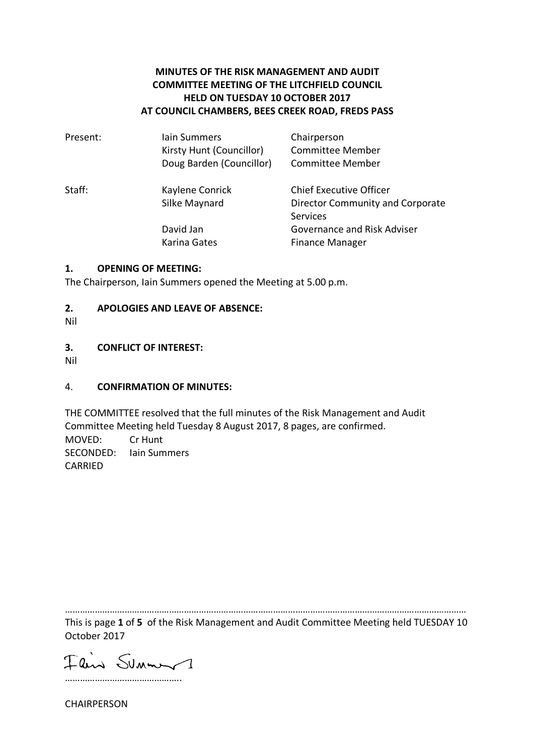# **MINUTES OF THE RISK MANAGEMENT AND AUDIT COMMITTEE MEETING OF THE LITCHFIELD COUNCIL HELD ON TUESDAY 10 OCTOBER 2017 AT COUNCIL CHAMBERS, BEES CREEK ROAD, FREDS PASS**

| Present: | lain Summers<br>Kirsty Hunt (Councillor)<br>Doug Barden (Councillor) | Chairperson<br><b>Committee Member</b><br><b>Committee Member</b>              |
|----------|----------------------------------------------------------------------|--------------------------------------------------------------------------------|
| Staff:   | Kaylene Conrick<br>Silke Maynard                                     | <b>Chief Executive Officer</b><br>Director Community and Corporate<br>Services |
|          | David Jan<br>Karina Gates                                            | Governance and Risk Adviser<br><b>Finance Manager</b>                          |

#### **1. OPENING OF MEETING:**

The Chairperson, Iain Summers opened the Meeting at 5.00 p.m.

#### **2. APOLOGIES AND LEAVE OF ABSENCE:**

Nil

#### **3. CONFLICT OF INTEREST:**

Nil

### 4. **CONFIRMATION OF MINUTES:**

THE COMMITTEE resolved that the full minutes of the Risk Management and Audit Committee Meeting held Tuesday 8 August 2017, 8 pages, are confirmed. MOVED: Cr Hunt SECONDED: Iain Summers CARRIED

………………………………………………………………………………………………………………………………………………

This is page **1** of **5** of the Risk Management and Audit Committee Meeting held TUESDAY 10 October 2017

Flind Summer 1 ………………………………………..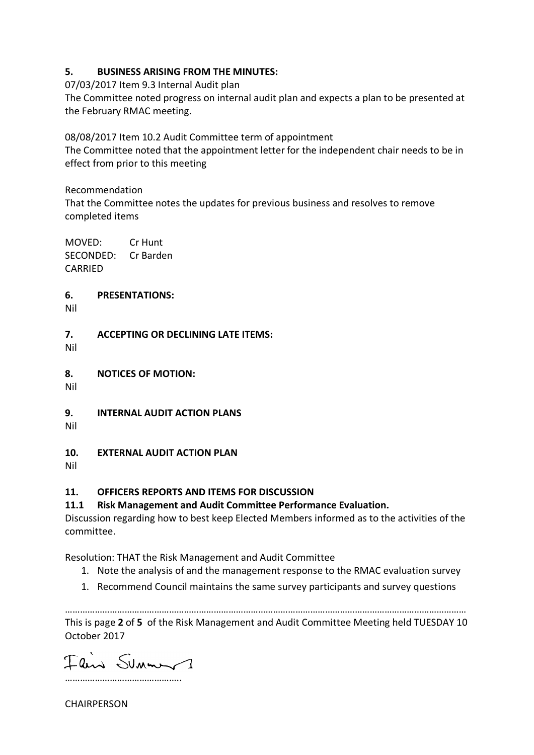## **5. BUSINESS ARISING FROM THE MINUTES:**

07/03/2017 Item 9.3 Internal Audit plan

The Committee noted progress on internal audit plan and expects a plan to be presented at the February RMAC meeting.

08/08/2017 Item 10.2 Audit Committee term of appointment

The Committee noted that the appointment letter for the independent chair needs to be in effect from prior to this meeting

Recommendation That the Committee notes the updates for previous business and resolves to remove completed items

MOVED: Cr Hunt SECONDED: Cr Barden CARRIED

### **6. PRESENTATIONS:**

Nil

**7. ACCEPTING OR DECLINING LATE ITEMS:**

Nil

**8. NOTICES OF MOTION:**

Nil

**9. INTERNAL AUDIT ACTION PLANS**

Nil

# **10. EXTERNAL AUDIT ACTION PLAN**

Nil

# **11. OFFICERS REPORTS AND ITEMS FOR DISCUSSION**

# **11.1 Risk Management and Audit Committee Performance Evaluation.**

Discussion regarding how to best keep Elected Members informed as to the activities of the committee.

Resolution: THAT the Risk Management and Audit Committee

- 1. Note the analysis of and the management response to the RMAC evaluation survey
- 1. Recommend Council maintains the same survey participants and survey questions

……………………………………………………………………………………………………………………………………………… This is page **2** of **5** of the Risk Management and Audit Committee Meeting held TUESDAY 10 October 2017

Flin Summer 1 ………………………………………..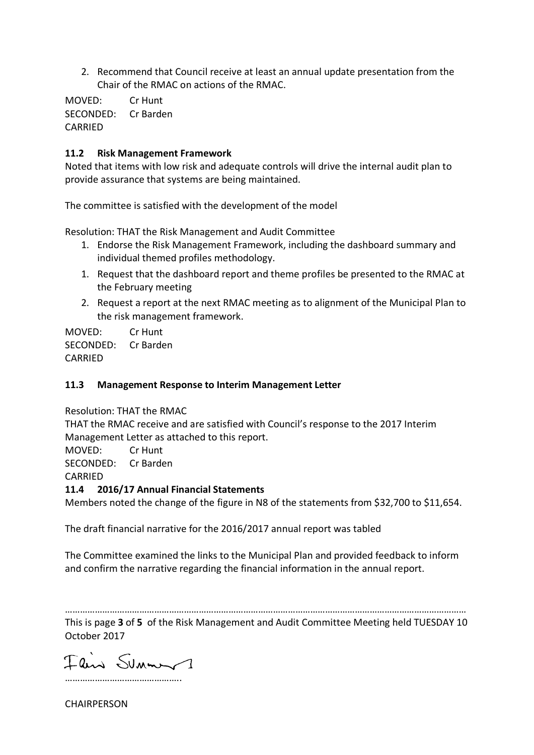2. Recommend that Council receive at least an annual update presentation from the Chair of the RMAC on actions of the RMAC.

MOVED: Cr Hunt SECONDED: Cr Barden CARRIED

### **11.2 Risk Management Framework**

Noted that items with low risk and adequate controls will drive the internal audit plan to provide assurance that systems are being maintained.

The committee is satisfied with the development of the model

Resolution: THAT the Risk Management and Audit Committee

- 1. Endorse the Risk Management Framework, including the dashboard summary and individual themed profiles methodology.
- 1. Request that the dashboard report and theme profiles be presented to the RMAC at the February meeting
- 2. Request a report at the next RMAC meeting as to alignment of the Municipal Plan to the risk management framework.

MOVED: Cr Hunt SECONDED: Cr Barden CARRIED

### **11.3 Management Response to Interim Management Letter**

Resolution: THAT the RMAC

THAT the RMAC receive and are satisfied with Council's response to the 2017 Interim Management Letter as attached to this report.

MOVED: Cr Hunt

SECONDED: Cr Barden

CARRIED

# **11.4 2016/17 Annual Financial Statements**

Members noted the change of the figure in N8 of the statements from \$32,700 to \$11,654.

The draft financial narrative for the 2016/2017 annual report was tabled

The Committee examined the links to the Municipal Plan and provided feedback to inform and confirm the narrative regarding the financial information in the annual report.

……………………………………………………………………………………………………………………………………………… This is page **3** of **5** of the Risk Management and Audit Committee Meeting held TUESDAY 10 October 2017

Fair Sunner1 ………………………………………..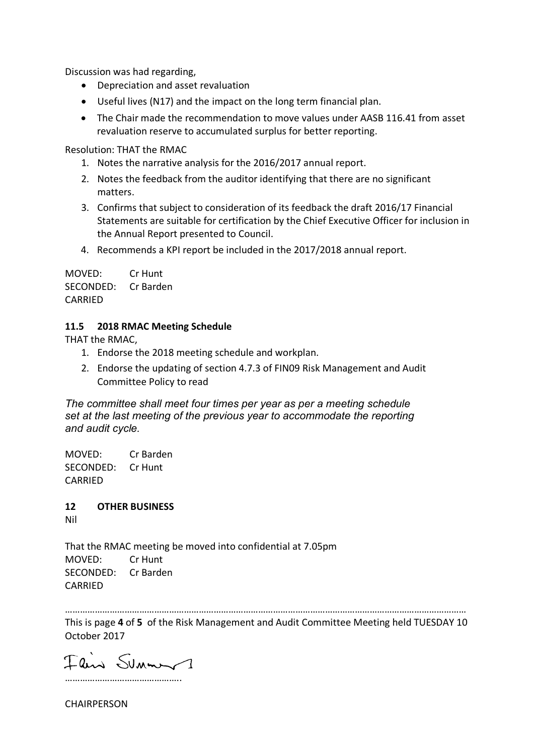Discussion was had regarding,

- Depreciation and asset revaluation
- Useful lives (N17) and the impact on the long term financial plan.
- The Chair made the recommendation to move values under AASB 116.41 from asset revaluation reserve to accumulated surplus for better reporting.

Resolution: THAT the RMAC

- 1. Notes the narrative analysis for the 2016/2017 annual report.
- 2. Notes the feedback from the auditor identifying that there are no significant matters.
- 3. Confirms that subject to consideration of its feedback the draft 2016/17 Financial Statements are suitable for certification by the Chief Executive Officer for inclusion in the Annual Report presented to Council.
- 4. Recommends a KPI report be included in the 2017/2018 annual report.

MOVED: Cr Hunt SECONDED: Cr Barden CARRIED

## **11.5 2018 RMAC Meeting Schedule**

THAT the RMAC,

- 1. Endorse the 2018 meeting schedule and workplan.
- 2. Endorse the updating of section 4.7.3 of FIN09 Risk Management and Audit Committee Policy to read

*The committee shall meet four times per year as per a meeting schedule set at the last meeting of the previous year to accommodate the reporting and audit cycle.*

MOVED: Cr Barden SECONDED: Cr Hunt CARRIED

**12 OTHER BUSINESS**

Nil

That the RMAC meeting be moved into confidential at 7.05pm MOVED: Cr Hunt SECONDED: Cr Barden CARRIED

………………………………………………………………………………………………………………………………………………

This is page **4** of **5** of the Risk Management and Audit Committee Meeting held TUESDAY 10 October 2017

Fair Sunner1 ………………………………………..